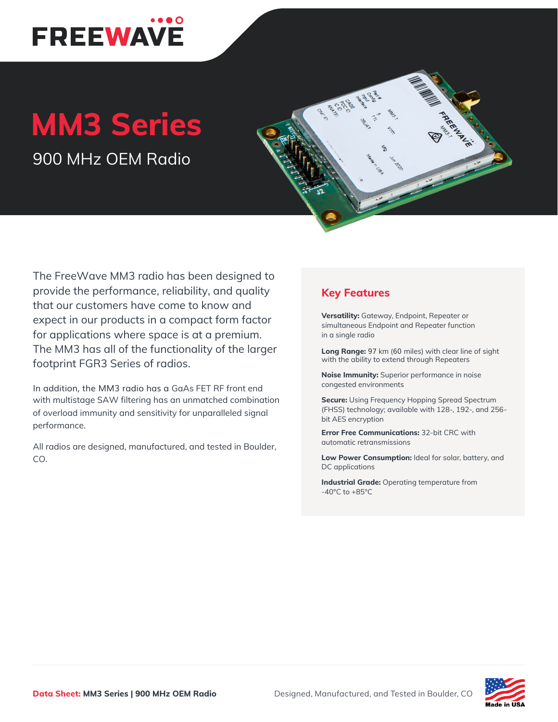

## **MM3 Series**

900 MHz OEM Radio



In addition, the MM3 radio has a GaAs FET RF front end with multistage SAW filtering has an unmatched combination of overload immunity and sensitivity for unparalleled signal performance.

All radios are designed, manufactured, and tested in Boulder, CO.

## **Key Features**

**Versatility:** Gateway, Endpoint, Repeater or simultaneous Endpoint and Repeater function in a single radio

**Long Range:** 97 km (60 miles) with clear line of sight with the ability to extend through Repeaters

**Noise Immunity:** Superior performance in noise congested environments

**Secure:** Using Frequency Hopping Spread Spectrum (FHSS) technology; available with 128-, 192-, and 256 bit AES encryption

**Error Free Communications:** 32-bit CRC with automatic retransmissions

**Low Power Consumption:** Ideal for solar, battery, and DC applications

**Industrial Grade:** Operating temperature from -40°C to +85°C